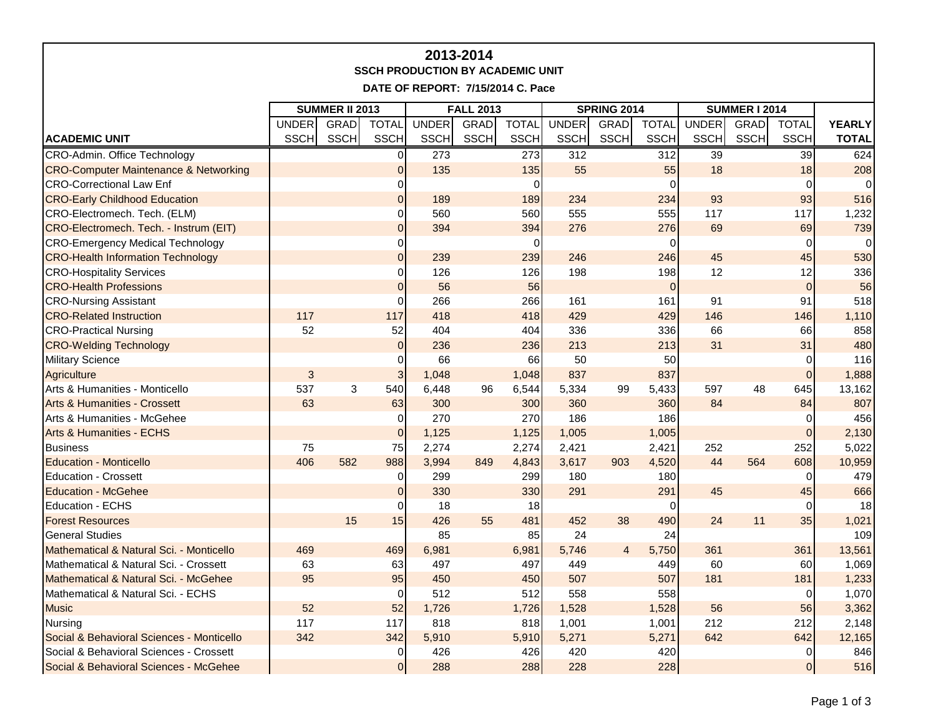| 2013-2014<br><b>SSCH PRODUCTION BY ACADEMIC UNIT</b><br>DATE OF REPORT: 7/15/2014 C. Pace |                       |             |                |              |                  |              |                    |             |              |                      |             |                |               |
|-------------------------------------------------------------------------------------------|-----------------------|-------------|----------------|--------------|------------------|--------------|--------------------|-------------|--------------|----------------------|-------------|----------------|---------------|
|                                                                                           | <b>SUMMER II 2013</b> |             |                |              | <b>FALL 2013</b> |              | <b>SPRING 2014</b> |             |              | <b>SUMMER I 2014</b> |             |                |               |
|                                                                                           | <b>UNDER</b>          | GRAD        | <b>TOTAL</b>   | <b>UNDER</b> | <b>GRAD</b>      | <b>TOTAL</b> | UNDER              | <b>GRAD</b> | <b>TOTAL</b> | <b>UNDER</b>         | <b>GRAD</b> | <b>TOTAL</b>   | <b>YEARLY</b> |
| <b>ACADEMIC UNIT</b>                                                                      | <b>SSCH</b>           | <b>SSCH</b> | <b>SSCH</b>    | <b>SSCH</b>  | <b>SSCH</b>      | <b>SSCH</b>  | <b>SSCH</b>        | <b>SSCH</b> | SSCH         | <b>SSCH</b>          | SSCH        | <b>SSCH</b>    | <b>TOTAL</b>  |
| CRO-Admin. Office Technology                                                              |                       |             | $\overline{0}$ | 273          |                  | 273          | 312                |             | 312          | 39                   |             | 39             | 624           |
| <b>CRO-Computer Maintenance &amp; Networking</b>                                          |                       |             | $\overline{0}$ | 135          |                  | 135          | 55                 |             | 55           | 18                   |             | 18             | 208           |
| <b>CRO-Correctional Law Enf</b>                                                           |                       |             | 0              |              |                  | $\Omega$     |                    |             | $\Omega$     |                      |             | $\overline{0}$ |               |
| <b>CRO-Early Childhood Education</b>                                                      |                       |             | $\mathbf 0$    | 189          |                  | 189          | 234                |             | 234          | 93                   |             | 93             | 516           |
| CRO-Electromech. Tech. (ELM)                                                              |                       |             | 0              | 560          |                  | 560          | 555                |             | 555          | 117                  |             | 117            | 1,232         |
| CRO-Electromech. Tech. - Instrum (EIT)                                                    |                       |             | $\overline{0}$ | 394          |                  | 394          | 276                |             | 276          | 69                   |             | 69             | 739           |
| <b>CRO-Emergency Medical Technology</b>                                                   |                       |             | 0              |              |                  | $\Omega$     |                    |             | 0            |                      |             | $\overline{0}$ | $\Omega$      |
| <b>CRO-Health Information Technology</b>                                                  |                       |             | $\pmb{0}$      | 239          |                  | 239          | 246                |             | 246          | 45                   |             | 45             | 530           |
| <b>CRO-Hospitality Services</b>                                                           |                       |             | 0              | 126          |                  | 126          | 198                |             | 198          | 12                   |             | 12             | 336           |
| <b>CRO-Health Professions</b>                                                             |                       |             | $\Omega$       | 56           |                  | 56           |                    |             | 0            |                      |             | $\overline{0}$ | 56            |
| <b>CRO-Nursing Assistant</b>                                                              |                       |             | $\Omega$       | 266          |                  | 266          | 161                |             | 161          | 91                   |             | 91             | 518           |
| <b>CRO-Related Instruction</b>                                                            | 117                   |             | 117            | 418          |                  | 418          | 429                |             | 429          | 146                  |             | 146            | 1,110         |
| <b>CRO-Practical Nursing</b>                                                              | 52                    |             | 52             | 404          |                  | 404          | 336                |             | 336          | 66                   |             | 66             | 858           |
| <b>CRO-Welding Technology</b>                                                             |                       |             | $\pmb{0}$      | 236          |                  | 236          | 213                |             | 213          | 31                   |             | 31             | 480           |
| <b>Military Science</b>                                                                   |                       |             | 0              | 66           |                  | 66           | 50                 |             | 50           |                      |             | $\overline{0}$ | 116           |
| <b>Agriculture</b>                                                                        | $\mathbf{3}$          |             | 3              | 1,048        |                  | 1,048        | 837                |             | 837          |                      |             | $\overline{0}$ | 1,888         |
| Arts & Humanities - Monticello                                                            | 537                   | 3           | 540            | 6,448        | 96               | 6,544        | 5,334              | 99          | 5,433        | 597                  | 48          | 645            | 13,162        |
| <b>Arts &amp; Humanities - Crossett</b>                                                   | 63                    |             | 63             | 300          |                  | 300          | 360                |             | 360          | 84                   |             | 84             | 807           |
| Arts & Humanities - McGehee                                                               |                       |             | $\Omega$       | 270          |                  | 270          | 186                |             | 186          |                      |             | $\overline{0}$ | 456           |
| <b>Arts &amp; Humanities - ECHS</b>                                                       |                       |             | $\overline{0}$ | 1,125        |                  | 1,125        | 1,005              |             | 1,005        |                      |             | $\overline{0}$ | 2,130         |
| <b>Business</b>                                                                           | 75                    |             | 75             | 2,274        |                  | 2,274        | 2,421              |             | 2,421        | 252                  |             | 252            | 5,022         |
| <b>Education - Monticello</b>                                                             | 406                   | 582         | 988            | 3,994        | 849              | 4,843        | 3,617              | 903         | 4,520        | 44                   | 564         | 608            | 10,959        |
| <b>Education - Crossett</b>                                                               |                       |             | 0              | 299          |                  | 299          | 180                |             | 180          |                      |             | $\Omega$       | 479           |
| <b>Education - McGehee</b>                                                                |                       |             | $\overline{0}$ | 330          |                  | 330          | 291                |             | 291          | 45                   |             | 45             | 666           |
| Education - ECHS                                                                          |                       |             | $\Omega$       | 18           |                  | 18           |                    |             | $\Omega$     |                      |             | $\overline{0}$ | 18            |
| <b>Forest Resources</b>                                                                   |                       | 15          | 15             | 426          | 55               | 481          | 452                | 38          | 490          | 24                   | 11          | 35             | 1,021         |
| <b>General Studies</b>                                                                    |                       |             |                | 85           |                  | 85           | 24                 |             | 24           |                      |             |                | 109           |
| Mathematical & Natural Sci. - Monticello                                                  | 469                   |             | 469            | 6,981        |                  | 6,981        | 5,746              | 4           | 5,750        | 361                  |             | 361            | 13,561        |
| Mathematical & Natural Sci. - Crossett                                                    | 63                    |             | 63             | 497          |                  | 497          | 449                |             | 449          | 60                   |             | 60             | 1,069         |
| Mathematical & Natural Sci. - McGehee                                                     | 95                    |             | 95             | 450          |                  | 450          | 507                |             | 507          | 181                  |             | 181            | 1,233         |
| Mathematical & Natural Sci. - ECHS                                                        |                       |             | $\overline{0}$ | 512          |                  | 512          | 558                |             | 558          |                      |             | $\overline{0}$ | 1,070         |
| <b>Music</b>                                                                              | 52                    |             | 52             | 1,726        |                  | 1,726        | 1,528              |             | 1,528        | 56                   |             | 56             | 3,362         |
| Nursing                                                                                   | 117                   |             | 117            | 818          |                  | 818          | 1,001              |             | 1,001        | 212                  |             | 212            | 2,148         |
| Social & Behavioral Sciences - Monticello                                                 | 342                   |             | 342            | 5,910        |                  | 5,910        | 5,271              |             | 5,271        | 642                  |             | 642            | 12,165        |
| Social & Behavioral Sciences - Crossett                                                   |                       |             | $\overline{0}$ | 426          |                  | 426          | 420                |             | 420          |                      |             | $\overline{0}$ | 846           |
| Social & Behavioral Sciences - McGehee                                                    |                       |             | $\overline{0}$ | 288          |                  | 288          | 228                |             | 228          |                      |             | $\overline{0}$ | 516           |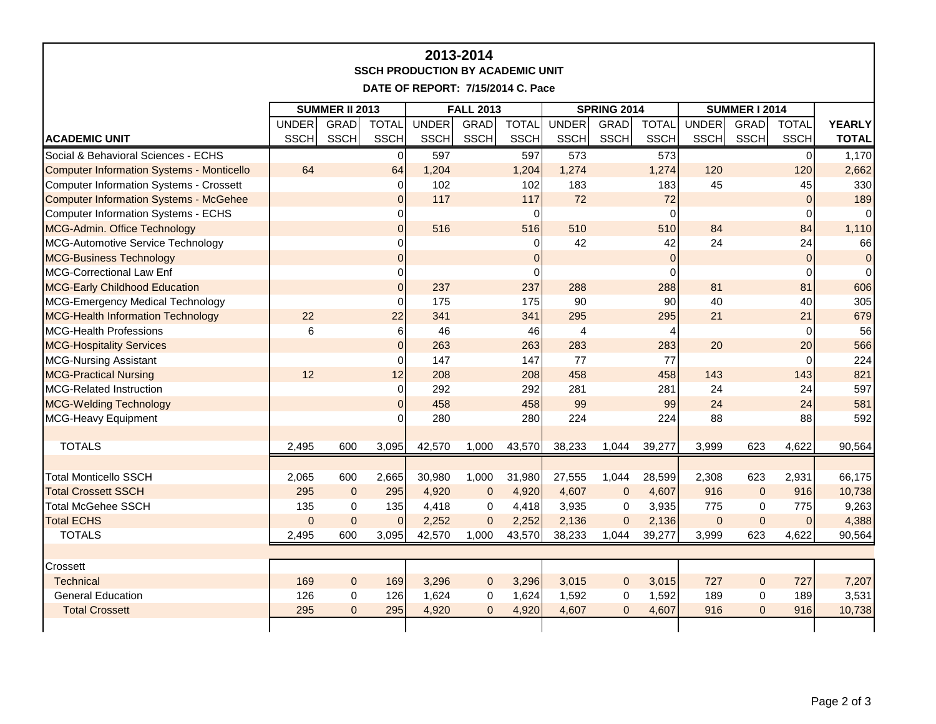| 2013-2014<br><b>SSCH PRODUCTION BY ACADEMIC UNIT</b><br>DATE OF REPORT: 7/15/2014 C. Pace |                       |              |                |                  |                |                |                    |              |                 |                      |                |                |               |
|-------------------------------------------------------------------------------------------|-----------------------|--------------|----------------|------------------|----------------|----------------|--------------------|--------------|-----------------|----------------------|----------------|----------------|---------------|
|                                                                                           | <b>SUMMER II 2013</b> |              |                | <b>FALL 2013</b> |                |                | <b>SPRING 2014</b> |              |                 | <b>SUMMER I 2014</b> |                |                |               |
|                                                                                           | UNDER                 | <b>GRAD</b>  | <b>TOTAL</b>   | <b>UNDER</b>     | <b>GRAD</b>    | <b>TOTAL</b>   | <b>UNDER</b>       | <b>GRAD</b>  | <b>TOTAL</b>    | <b>UNDER</b>         | <b>GRAD</b>    | <b>TOTAL</b>   | <b>YEARLY</b> |
| <b>ACADEMIC UNIT</b>                                                                      | <b>SSCH</b>           | <b>SSCH</b>  | <b>SSCH</b>    | <b>SSCH</b>      | <b>SSCH</b>    | <b>SSCH</b>    | <b>SSCH</b>        | <b>SSCH</b>  | SSCH            | <b>SSCH</b>          | <b>SSCH</b>    | <b>SSCH</b>    | <b>TOTAL</b>  |
| Social & Behavioral Sciences - ECHS                                                       |                       |              | $\mathbf 0$    | 597              |                | 597            | $\overline{573}$   |              | 573             |                      |                | $\overline{0}$ | 1.170         |
| <b>Computer Information Systems - Monticello</b>                                          | 64                    |              | 64             | 1,204            |                | 1,204          | 1,274              |              | 1,274           | 120                  |                | 120            | 2,662         |
| Computer Information Systems - Crossett                                                   |                       |              | 0              | 102              |                | 102            | 183                |              | 183             | 45                   |                | 45             | 330           |
| <b>Computer Information Systems - McGehee</b>                                             |                       |              | $\mathbf 0$    | 117              |                | 117            | 72                 |              | 72              |                      |                | $\mathbf 0$    | 189           |
| Computer Information Systems - ECHS                                                       |                       |              | $\mathbf 0$    |                  |                | $\Omega$       |                    |              | $\Omega$        |                      |                | $\Omega$       |               |
| MCG-Admin. Office Technology                                                              |                       |              | $\overline{0}$ | 516              |                | 516            | 510                |              | 510             | 84                   |                | 84             | 1,110         |
| MCG-Automotive Service Technology                                                         |                       |              | $\mathbf 0$    |                  |                | 0              | 42                 |              | 42              | 24                   |                | 24             | 66            |
| <b>MCG-Business Technology</b>                                                            |                       |              | $\Omega$       |                  |                | $\overline{0}$ |                    |              | $\Omega$        |                      |                | $\Omega$       | $\Omega$      |
| MCG-Correctional Law Enf                                                                  |                       |              | $\Omega$       |                  |                | $\Omega$       |                    |              | $\Omega$        |                      |                | $\Omega$       | $\Omega$      |
| <b>MCG-Early Childhood Education</b>                                                      |                       |              | $\mathbf 0$    | 237              |                | 237            | 288                |              | 288             | 81                   |                | 81             | 606           |
| MCG-Emergency Medical Technology                                                          |                       |              | 0              | 175              |                | 175            | 90                 |              | 90 <sub>l</sub> | 40                   |                | 40             | 305           |
| <b>MCG-Health Information Technology</b>                                                  | 22                    |              | 22             | 341              |                | 341            | 295                |              | 295             | 21                   |                | 21             | 679           |
| <b>MCG-Health Professions</b>                                                             | $\,6\,$               |              | 6              | 46               |                | 46             | $\overline{4}$     |              | 4               |                      |                | $\Omega$       | 56            |
| <b>MCG-Hospitality Services</b>                                                           |                       |              | $\overline{0}$ | 263              |                | 263            | 283                |              | 283             | 20                   |                | 20             | 566           |
| <b>MCG-Nursing Assistant</b>                                                              |                       |              | $\mathbf 0$    | 147              |                | 147            | 77                 |              | 77              |                      |                | $\Omega$       | 224           |
| <b>MCG-Practical Nursing</b>                                                              | 12                    |              | 12             | 208              |                | 208            | 458                |              | 458             | 143                  |                | 143            | 821           |
| <b>MCG-Related Instruction</b>                                                            |                       |              | $\mathbf 0$    | 292              |                | 292            | 281                |              | 281             | 24                   |                | 24             | 597           |
| <b>MCG-Welding Technology</b>                                                             |                       |              | $\overline{0}$ | 458              |                | 458            | 99                 |              | 99              | 24                   |                | 24             | 581           |
| MCG-Heavy Equipment                                                                       |                       |              | $\Omega$       | 280              |                | 280            | 224                |              | 224             | 88                   |                | 88             | 592           |
|                                                                                           |                       |              |                |                  |                |                |                    |              |                 |                      |                |                |               |
| <b>TOTALS</b>                                                                             | 2,495                 | 600          | 3,095          | 42,570           | 1,000          | 43,570         | 38,233             | 1,044        | 39,277          | 3,999                | 623            | 4,622          | 90,564        |
|                                                                                           |                       |              |                |                  |                |                |                    |              |                 |                      |                |                |               |
| <b>Total Monticello SSCH</b>                                                              | 2,065                 | 600          | 2,665          | 30,980           | 1,000          | 31,980         | 27,555             | 1,044        | 28,599          | 2,308                | 623            | 2,931          | 66,175        |
| <b>Total Crossett SSCH</b>                                                                | 295                   | $\mathbf 0$  | 295            | 4,920            | $\mathbf{0}$   | 4,920          | 4,607              | $\mathbf{0}$ | 4,607           | 916                  | $\mathbf 0$    | 916            | 10,738        |
| <b>Total McGehee SSCH</b>                                                                 | 135                   | $\Omega$     | 135            | 4,418            | $\Omega$       | 4,418          | 3,935              | $\mathbf 0$  | 3,935           | 775                  | $\mathbf 0$    | 775            | 9,263         |
| <b>Total ECHS</b>                                                                         | $\pmb{0}$             | $\pmb{0}$    | $\mathbf{0}$   | 2,252            | $\pmb{0}$      | 2,252          | 2,136              | $\mathbf{0}$ | 2,136           | $\mathbf{0}$         | $\pmb{0}$      | $\Omega$       | 4,388         |
| <b>TOTALS</b>                                                                             | 2,495                 | 600          | 3,095          | 42,570           | 1,000          | 43,570         | 38,233             | 1,044        | 39,277          | 3,999                | 623            | 4,622          | 90,564        |
|                                                                                           |                       |              |                |                  |                |                |                    |              |                 |                      |                |                |               |
| Crossett                                                                                  |                       |              |                |                  |                |                |                    |              |                 |                      |                |                |               |
| Technical                                                                                 | 169                   | $\mathbf{0}$ | 169            | 3.296            | $\overline{0}$ | 3,296          | 3,015              | $\mathbf{0}$ | 3,015           | 727                  | $\overline{0}$ | 727            | 7,207         |
| <b>General Education</b>                                                                  | 126                   | $\mathbf 0$  | 126            | 1,624            | $\mathbf 0$    | 1,624          | 1,592              | $\mathbf 0$  | 1,592           | 189                  | 0              | 189            | 3,531         |
| <b>Total Crossett</b>                                                                     | 295                   | $\Omega$     | 295            | 4,920            | $\Omega$       | 4,920          | 4,607              | $\mathbf{0}$ | 4,607           | 916                  | $\overline{0}$ | 916            | 10,738        |
|                                                                                           |                       |              |                |                  |                |                |                    |              |                 |                      |                |                |               |